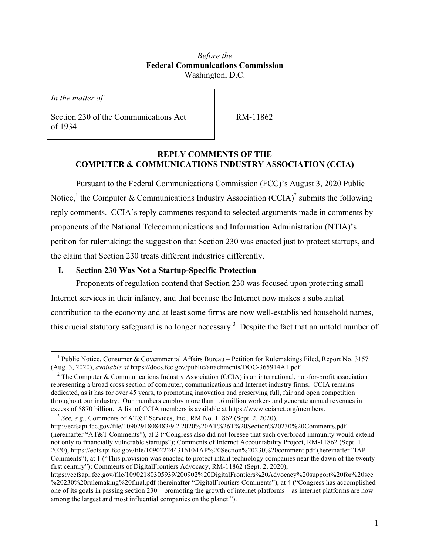## *Before the* **Federal Communications Commission** Washington, D.C.

*In the matter of*

Section 230 of the Communications Act of 1934

RM-11862

### **REPLY COMMENTS OF THE COMPUTER & COMMUNICATIONS INDUSTRY ASSOCIATION (CCIA)**

Pursuant to the Federal Communications Commission (FCC)'s August 3, 2020 Public Notice,<sup>1</sup> the Computer & Communications Industry Association (CCIA)<sup>2</sup> submits the following reply comments. CCIA's reply comments respond to selected arguments made in comments by proponents of the National Telecommunications and Information Administration (NTIA)'s petition for rulemaking: the suggestion that Section 230 was enacted just to protect startups, and the claim that Section 230 treats different industries differently.

#### **I. Section 230 Was Not a Startup-Specific Protection**

Proponents of regulation contend that Section 230 was focused upon protecting small Internet services in their infancy, and that because the Internet now makes a substantial contribution to the economy and at least some firms are now well-established household names, this crucial statutory safeguard is no longer necessary.<sup>3</sup> Despite the fact that an untold number of

<sup>&</sup>lt;sup>1</sup> Public Notice, Consumer & Governmental Affairs Bureau – Petition for Rulemakings Filed, Report No. 3157 (Aug. 3, 2020), *available at* https://docs.fcc.gov/public/attachments/DOC-365914A1.pdf.

<sup>&</sup>lt;sup>2</sup> The Computer & Communications Industry Association (CCIA) is an international, not-for-profit association representing a broad cross section of computer, communications and Internet industry firms. CCIA remains dedicated, as it has for over 45 years, to promoting innovation and preserving full, fair and open competition throughout our industry. Our members employ more than 1.6 million workers and generate annual revenues in excess of \$870 billion. A list of CCIA members is available at https://www.ccianet.org/members.

 $3$  *See, e.g.*, Comments of AT&T Services, Inc., RM No. 11862 (Sept. 2, 2020),

http://ecfsapi.fcc.gov/file/1090291808483/9.2.2020%20AT%26T%20Section%20230%20Comments.pdf (hereinafter "AT&T Comments"), at 2 ("Congress also did not foresee that such overbroad immunity would extend not only to financially vulnerable startups"); Comments of Internet Accountability Project, RM-11862 (Sept. 1, 2020), https://ecfsapi.fcc.gov/file/10902224431610/IAP%20Section%20230%20comment.pdf (hereinafter "IAP Comments"), at 1 ("This provision was enacted to protect infant technology companies near the dawn of the twentyfirst century"); Comments of DigitalFrontiers Advocacy, RM-11862 (Sept. 2, 2020),

https://ecfsapi.fcc.gov/file/10902180305939/200902%20DigitalFrontiers%20Advocacy%20support%20for%20sec %20230%20rulemaking%20final.pdf (hereinafter "DigitalFrontiers Comments"), at 4 ("Congress has accomplished one of its goals in passing section 230—promoting the growth of internet platforms—as internet platforms are now among the largest and most influential companies on the planet.").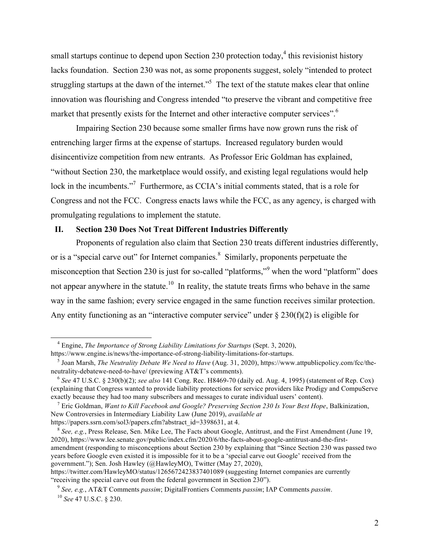small startups continue to depend upon Section 230 protection today,  $4$  this revisionist history lacks foundation. Section 230 was not, as some proponents suggest, solely "intended to protect struggling startups at the dawn of the internet."<sup>5</sup> The text of the statute makes clear that online innovation was flourishing and Congress intended "to preserve the vibrant and competitive free market that presently exists for the Internet and other interactive computer services".<sup>6</sup>

Impairing Section 230 because some smaller firms have now grown runs the risk of entrenching larger firms at the expense of startups. Increased regulatory burden would disincentivize competition from new entrants. As Professor Eric Goldman has explained, "without Section 230, the marketplace would ossify, and existing legal regulations would help lock in the incumbents."<sup>7</sup> Furthermore, as CCIA's initial comments stated, that is a role for Congress and not the FCC. Congress enacts laws while the FCC, as any agency, is charged with promulgating regulations to implement the statute.

### **II. Section 230 Does Not Treat Different Industries Differently**

Proponents of regulation also claim that Section 230 treats different industries differently, or is a "special carve out" for Internet companies.<sup>8</sup> Similarly, proponents perpetuate the misconception that Section 230 is just for so-called "platforms,"<sup>9</sup> when the word "platform" does not appear anywhere in the statute.<sup>10</sup> In reality, the statute treats firms who behave in the same way in the same fashion; every service engaged in the same function receives similar protection. Any entity functioning as an "interactive computer service" under  $\S 230(f)(2)$  is eligible for

https://twitter.com/HawleyMO/status/1265672423837401089 (suggesting Internet companies are currently "receiving the special carve out from the federal government in Section 230").

<sup>4</sup> Engine, *The Importance of Strong Liability Limitations for Startups* (Sept. 3, 2020), https://www.engine.is/news/the-importance-of-strong-liability-limitations-for-startups.

<sup>5</sup> Joan Marsh, *The Neutrality Debate We Need to Have* (Aug. 31, 2020), https://www.attpublicpolicy.com/fcc/theneutrality-debatewe-need-to-have/ (previewing AT&T's comments).

<sup>6</sup> *See* 47 U.S.C. § 230(b)(2); *see also* 141 Cong. Rec. H8469-70 (daily ed. Aug. 4, 1995) (statement of Rep. Cox) (explaining that Congress wanted to provide liability protections for service providers like Prodigy and CompuServe exactly because they had too many subscribers and messages to curate individual users' content).

<sup>7</sup> Eric Goldman, *Want to Kill Facebook and Google? Preserving Section 230 Is Your Best Hope*, Balkinization, New Controversies in Intermediary Liability Law (June 2019), *available at* https://papers.ssrn.com/sol3/papers.cfm?abstract\_id=3398631, at 4.

<sup>8</sup> *See, e.g.*, Press Release, Sen. Mike Lee, The Facts about Google, Antitrust, and the First Amendment (June 19, 2020), https://www.lee.senate.gov/public/index.cfm/2020/6/the-facts-about-google-antitrust-and-the-firstamendment (responding to misconceptions about Section 230 by explaining that "Since Section 230 was passed two years before Google even existed it is impossible for it to be a 'special carve out Google' received from the government."); Sen. Josh Hawley (@HawleyMO), Twitter (May 27, 2020),

<sup>9</sup> *See, e.g.*, AT&T Comments *passim*; DigitalFrontiers Comments *passim*; IAP Comments *passim*. <sup>10</sup> *See* 47 U.S.C. § 230.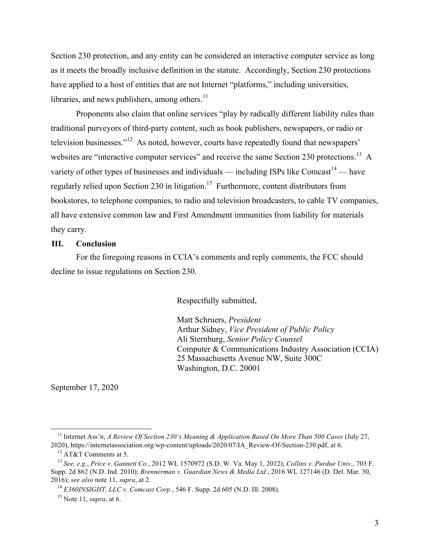Section 230 protection, and any entity can be considered an interactive computer service as long as it meets the broadly inclusive definition in the statute. Accordingly, Section 230 protections have applied to a host of entities that are not Internet "platforms," including universities, libraries, and news publishers, among others. $11$ 

Proponents also claim that online services "play by radically different liability rules than traditional purveyors of third-party content, such as book publishers, newspapers, or radio or television businesses."12 As noted, however, courts have repeatedly found that newspapers' websites are "interactive computer services" and receive the same Section 230 protections.<sup>13</sup> A variety of other types of businesses and individuals — including ISPs like Comcast<sup>14</sup> — have regularly relied upon Section 230 in litigation.<sup>15</sup> Furthermore, content distributors from bookstores, to telephone companies, to radio and television broadcasters, to cable TV companies, all have extensive common law and First Amendment immunities from liability for materials they carry.

### **III. Conclusion**

For the foregoing reasons in CCIA's comments and reply comments, the FCC should decline to issue regulations on Section 230.

Respectfully submitted,

Matt Schruers, *President* Arthur Sidney, *Vice President of Public Policy* Ali Sternburg, *Senior Policy Counsel* Computer & Communications Industry Association (CCIA) 25 Massachusetts Avenue NW, Suite 300C Washington, D.C. 20001

September 17, 2020

<sup>11</sup> Internet Ass'n, *A Review Of Section 230's Meaning & Application Based On More Than 500 Cases* (July 27, 2020), https://internetassociation.org/wp-content/uploads/2020/07/IA\_Review-Of-Section-230.pdf, at 6.

<sup>12</sup> AT&T Comments at 5.

<sup>13</sup> *See, e.g.*, *Price v. Gannett Co.*, 2012 WL 1570972 (S.D. W. Va. May 1, 2012); *Collins v. Purdue Univ.*, 703 F. Supp. 2d 862 (N.D. Ind. 2010); *Brennerman v. Guardian News & Media Ltd.*, 2016 WL 127146 (D. Del. Mar. 30, 2016); *see also* note 11, *supra*, at 2.

<sup>14</sup> *E360INSIGHT, LLC v. Comcast Corp.*, 546 F. Supp. 2d 605 (N.D. Ill. 2008).

<sup>15</sup> Note 11, *supra*, at 6.